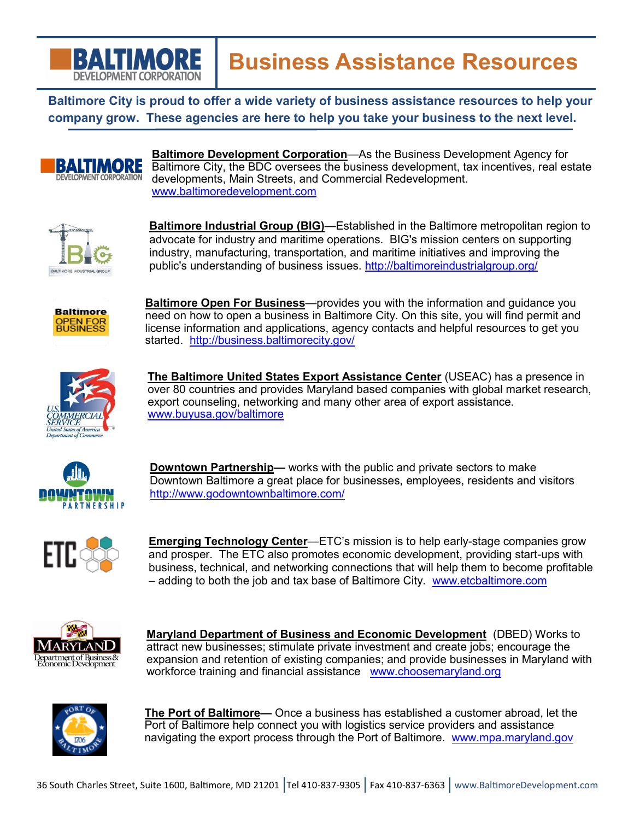

**Baltimore City is proud to offer a wide variety of business assistance resources to help your company grow. These agencies are here to help you take your business to the next level.** 



**Baltimore Development Corporation**—As the Business Development Agency for Baltimore City, the BDC oversees the business development, tax incentives, real estate developments, Main Streets, and Commercial Redevelopment. [www.baltimoredevelopment.com](http://www.baltimoredevelopment.com)



**Baltimore Industrial Group (BIG)**—Established in the Baltimore metropolitan region to advocate for industry and maritime operations. BIG's mission centers on supporting industry, manufacturing, transportation, and maritime initiatives and improving the public's understanding of business issues. <http://baltimoreindustrialgroup.org/>



**Baltimore Open For Business**—provides you with the information and guidance you need on how to open a business in Baltimore City. On this site, you will find permit and license information and applications, agency contacts and helpful resources to get you started. <http://business.baltimorecity.gov/>



**The Baltimore United States Export Assistance Center** (USEAC) has a presence in over 80 countries and provides Maryland based companies with global market research, export counseling, networking and many other area of export assistance. [www.buyusa.gov/baltimore](http://www.buyusa.gov/baltimore/)



**Downtown Partnership—** works with the public and private sectors to make Downtown Baltimore a great place for businesses, employees, residents and visitors <http://www.godowntownbaltimore.com/>



**Emerging Technology Center**—ETC's mission is to help early-stage companies grow and prosper. The ETC also promotes economic development, providing start-ups with business, technical, and networking connections that will help them to become profitable – adding to both the job and tax base of Baltimore City. [www.etcbaltimore.com](http://www.etcbaltimore.com/)



**Maryland Department of Business and Economic Development** (DBED) Works to attract new businesses; stimulate private investment and create jobs; encourage the expansion and retention of existing companies; and provide businesses in Maryland with workforce training and financial assistance [www.choosemaryland.org](http://www.choosemaryland.org/businessresources/Pages/ExportMDProgram.aspx)



**The Port of Baltimore—** Once a business has established a customer abroad, let the Port of Baltimore help connect you with logistics service providers and assistance navigating the export process through the Port of Baltimore. [www.mpa.maryland.gov](http://www.mpa.maryland.gov/)